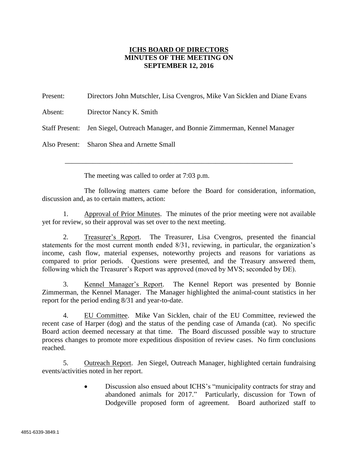## **ICHS BOARD OF DIRECTORS MINUTES OF THE MEETING ON SEPTEMBER 12, 2016**

Present: Directors John Mutschler, Lisa Cvengros, Mike Van Sicklen and Diane Evans Absent: Director Nancy K. Smith Staff Present: Jen Siegel, Outreach Manager, and Bonnie Zimmerman, Kennel Manager Also Present: Sharon Shea and Arnette Small

The meeting was called to order at 7:03 p.m.

The following matters came before the Board for consideration, information, discussion and, as to certain matters, action:

\_\_\_\_\_\_\_\_\_\_\_\_\_\_\_\_\_\_\_\_\_\_\_\_\_\_\_\_\_\_\_\_\_\_\_\_\_\_\_\_\_\_\_\_\_\_\_\_\_\_\_\_\_\_\_\_\_\_\_\_\_\_\_\_\_

1. Approval of Prior Minutes. The minutes of the prior meeting were not available yet for review, so their approval was set over to the next meeting.

2. Treasurer's Report. The Treasurer, Lisa Cvengros, presented the financial statements for the most current month ended 8/31, reviewing, in particular, the organization's income, cash flow, material expenses, noteworthy projects and reasons for variations as compared to prior periods. Questions were presented, and the Treasury answered them, following which the Treasurer's Report was approved (moved by MVS; seconded by DE).

3. Kennel Manager's Report. The Kennel Report was presented by Bonnie Zimmerman, the Kennel Manager. The Manager highlighted the animal-count statistics in her report for the period ending 8/31 and year-to-date.

4. EU Committee. Mike Van Sicklen, chair of the EU Committee, reviewed the recent case of Harper (dog) and the status of the pending case of Amanda (cat). No specific Board action deemed necessary at that time. The Board discussed possible way to structure process changes to promote more expeditious disposition of review cases. No firm conclusions reached.

5. Outreach Report. Jen Siegel, Outreach Manager, highlighted certain fundraising events/activities noted in her report.

> Discussion also ensued about ICHS's "municipality contracts for stray and abandoned animals for 2017." Particularly, discussion for Town of Dodgeville proposed form of agreement. Board authorized staff to